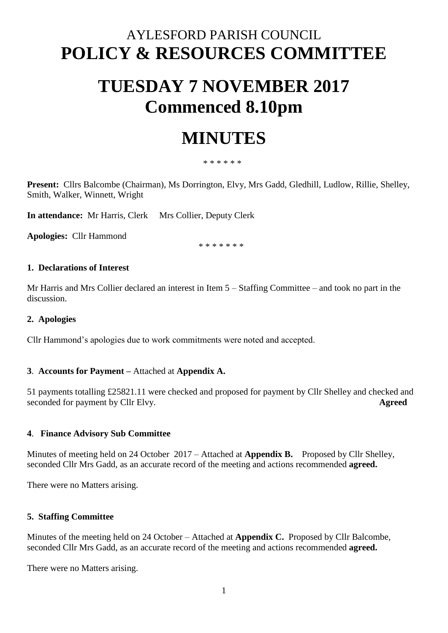## AYLESFORD PARISH COUNCIL **POLICY & RESOURCES COMMITTEE**

# **TUESDAY 7 NOVEMBER 2017 Commenced 8.10pm**

## **MINUTES**

#### \* \* \* \* \* \*

**Present:** Cllrs Balcombe (Chairman), Ms Dorrington, Elvy, Mrs Gadd, Gledhill, Ludlow, Rillie, Shelley, Smith, Walker, Winnett, Wright

**In attendance:** Mr Harris, Clerk Mrs Collier, Deputy Clerk

**Apologies:** Cllr Hammond

\* \* \* \* \* \* \*

#### **1. Declarations of Interest**

Mr Harris and Mrs Collier declared an interest in Item 5 – Staffing Committee – and took no part in the discussion.

#### **2. Apologies**

Cllr Hammond's apologies due to work commitments were noted and accepted.

#### **3**. **Accounts for Payment –** Attached at **Appendix A.**

51 payments totalling £25821.11 were checked and proposed for payment by Cllr Shelley and checked and seconded for payment by Cllr Elvy. **Agreed**

#### **4**. **Finance Advisory Sub Committee**

Minutes of meeting held on 24 October 2017 – Attached at **Appendix B.** Proposed by Cllr Shelley, seconded Cllr Mrs Gadd, as an accurate record of the meeting and actions recommended **agreed.**

There were no Matters arising.

#### **5. Staffing Committee**

Minutes of the meeting held on 24 October – Attached at **Appendix C.** Proposed by Cllr Balcombe, seconded Cllr Mrs Gadd, as an accurate record of the meeting and actions recommended **agreed.**

There were no Matters arising.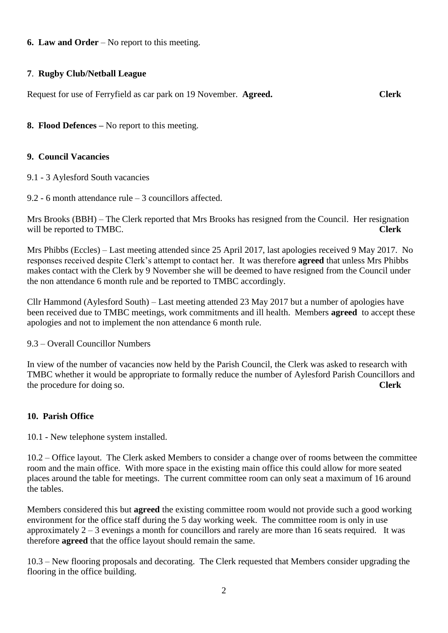#### **6. Law and Order** – No report to this meeting.

#### **7**. **Rugby Club/Netball League**

Request for use of Ferryfield as car park on 19 November. **Agreed. Clerk**

### **8. Flood Defences –** No report to this meeting.

#### **9. Council Vacancies**

9.1 - 3 Aylesford South vacancies

9.2 - 6 month attendance rule – 3 councillors affected.

Mrs Brooks (BBH) – The Clerk reported that Mrs Brooks has resigned from the Council. Her resignation will be reported to TMBC. **Clerk** 

Mrs Phibbs (Eccles) – Last meeting attended since 25 April 2017, last apologies received 9 May 2017. No responses received despite Clerk's attempt to contact her. It was therefore **agreed** that unless Mrs Phibbs makes contact with the Clerk by 9 November she will be deemed to have resigned from the Council under the non attendance 6 month rule and be reported to TMBC accordingly.

Cllr Hammond (Aylesford South) – Last meeting attended 23 May 2017 but a number of apologies have been received due to TMBC meetings, work commitments and ill health. Members **agreed** to accept these apologies and not to implement the non attendance 6 month rule.

#### 9.3 – Overall Councillor Numbers

In view of the number of vacancies now held by the Parish Council, the Clerk was asked to research with TMBC whether it would be appropriate to formally reduce the number of Aylesford Parish Councillors and the procedure for doing so. **Clerk**

#### **10. Parish Office**

10.1 - New telephone system installed.

10.2 – Office layout. The Clerk asked Members to consider a change over of rooms between the committee room and the main office. With more space in the existing main office this could allow for more seated places around the table for meetings. The current committee room can only seat a maximum of 16 around the tables.

Members considered this but **agreed** the existing committee room would not provide such a good working environment for the office staff during the 5 day working week. The committee room is only in use approximately  $2 - 3$  evenings a month for councillors and rarely are more than 16 seats required. It was therefore **agreed** that the office layout should remain the same.

10.3 – New flooring proposals and decorating. The Clerk requested that Members consider upgrading the flooring in the office building.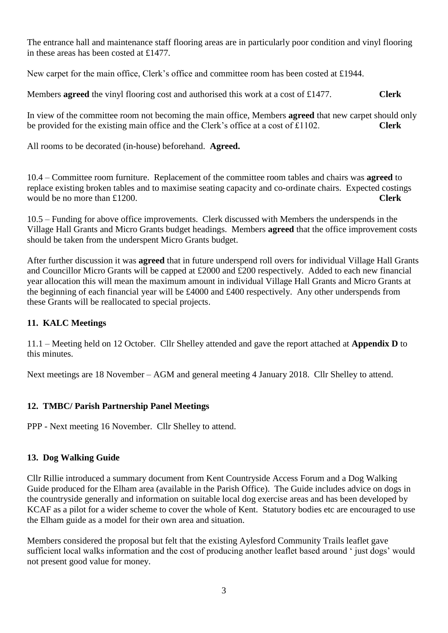The entrance hall and maintenance staff flooring areas are in particularly poor condition and vinyl flooring in these areas has been costed at £1477.

New carpet for the main office, Clerk's office and committee room has been costed at £1944.

Members **agreed** the vinyl flooring cost and authorised this work at a cost of £1477. **Clerk**

In view of the committee room not becoming the main office, Members **agreed** that new carpet should only be provided for the existing main office and the Clerk's office at a cost of £1102. **Clerk**

All rooms to be decorated (in-house) beforehand. **Agreed.**

10.4 – Committee room furniture. Replacement of the committee room tables and chairs was **agreed** to replace existing broken tables and to maximise seating capacity and co-ordinate chairs. Expected costings would be no more than £1200.

10.5 – Funding for above office improvements. Clerk discussed with Members the underspends in the Village Hall Grants and Micro Grants budget headings. Members **agreed** that the office improvement costs should be taken from the underspent Micro Grants budget.

After further discussion it was **agreed** that in future underspend roll overs for individual Village Hall Grants and Councillor Micro Grants will be capped at £2000 and £200 respectively. Added to each new financial year allocation this will mean the maximum amount in individual Village Hall Grants and Micro Grants at the beginning of each financial year will be £4000 and £400 respectively. Any other underspends from these Grants will be reallocated to special projects.

## **11. KALC Meetings**

11.1 – Meeting held on 12 October. Cllr Shelley attended and gave the report attached at **Appendix D** to this minutes.

Next meetings are 18 November – AGM and general meeting 4 January 2018. Cllr Shelley to attend.

## **12. TMBC/ Parish Partnership Panel Meetings**

PPP - Next meeting 16 November. Cllr Shelley to attend.

#### **13. Dog Walking Guide**

Cllr Rillie introduced a summary document from Kent Countryside Access Forum and a Dog Walking Guide produced for the Elham area (available in the Parish Office). The Guide includes advice on dogs in the countryside generally and information on suitable local dog exercise areas and has been developed by KCAF as a pilot for a wider scheme to cover the whole of Kent. Statutory bodies etc are encouraged to use the Elham guide as a model for their own area and situation.

Members considered the proposal but felt that the existing Aylesford Community Trails leaflet gave sufficient local walks information and the cost of producing another leaflet based around ' just dogs' would not present good value for money.